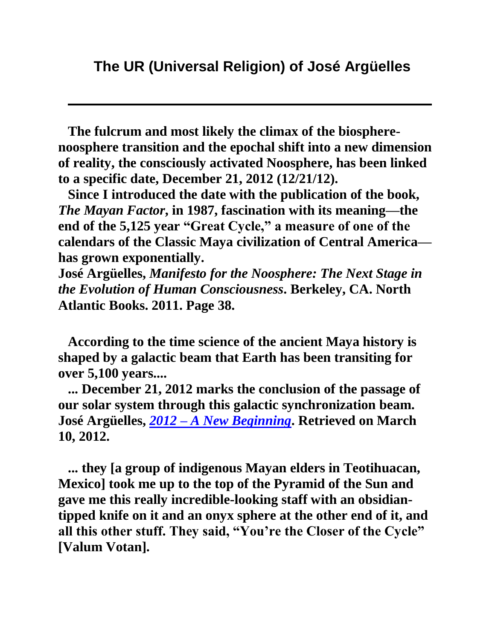**The fulcrum and most likely the climax of the biospherenoosphere transition and the epochal shift into a new dimension of reality, the consciously activated Noosphere, has been linked to a specific date, December 21, 2012 (12/21/12).**

**Since I introduced the date with the publication of the book,**  *The Mayan Factor***, in 1987, fascination with its meaning—the end of the 5,125 year "Great Cycle," a measure of one of the calendars of the Classic Maya civilization of Central America has grown exponentially.**

**José Argüelles,** *Manifesto for the Noosphere: The Next Stage in the Evolution of Human Consciousness***. Berkeley, CA. North Atlantic Books. 2011. Page 38.**

**According to the time science of the ancient Maya history is shaped by a galactic beam that Earth has been transiting for over 5,100 years....**

**... December 21, 2012 marks the conclusion of the passage of our solar system through this galactic synchronization beam. José Argüelles,** *2012 – [A New Beginning](http://www.lawoftime.org/timeshipearth/articlesbyvv/2012newbeginning.html)***. Retrieved on March 10, 2012.**

**... they [a group of indigenous Mayan elders in Teotihuacan, Mexico] took me up to the top of the Pyramid of the Sun and gave me this really incredible-looking staff with an obsidiantipped knife on it and an onyx sphere at the other end of it, and all this other stuff. They said, "You're the Closer of the Cycle" [Valum Votan].**